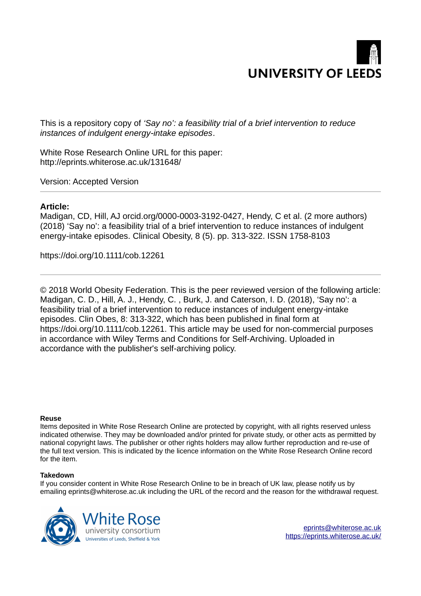

This is a repository copy of *'Say no': a feasibility trial of a brief intervention to reduce instances of indulgent energy intake episodes* ‐ .

White Rose Research Online URL for this paper: http://eprints.whiterose.ac.uk/131648/

Version: Accepted Version

#### **Article:**

Madigan, CD, Hill, AJ orcid.org/0000-0003-3192-0427, Hendy, C et al. (2 more authors) (2018) 'Say no': a feasibility trial of a brief intervention to reduce instances of indulgent energy-intake episodes. Clinical Obesity, 8 (5). pp. 313-322. ISSN 1758-8103

https://doi.org/10.1111/cob.12261

© 2018 World Obesity Federation. This is the peer reviewed version of the following article: Madigan, C. D., Hill, A. J., Hendy, C. , Burk, J. and Caterson, I. D. (2018), 'Say no': a feasibility trial of a brief intervention to reduce instances of indulgent energy-intake episodes. Clin Obes, 8: 313-322, which has been published in final form at https://doi.org/10.1111/cob.12261. This article may be used for non-commercial purposes in accordance with Wiley Terms and Conditions for Self-Archiving. Uploaded in accordance with the publisher's self-archiving policy.

#### **Reuse**

Items deposited in White Rose Research Online are protected by copyright, with all rights reserved unless indicated otherwise. They may be downloaded and/or printed for private study, or other acts as permitted by national copyright laws. The publisher or other rights holders may allow further reproduction and re-use of the full text version. This is indicated by the licence information on the White Rose Research Online record for the item.

#### **Takedown**

If you consider content in White Rose Research Online to be in breach of UK law, please notify us by emailing eprints@whiterose.ac.uk including the URL of the record and the reason for the withdrawal request.

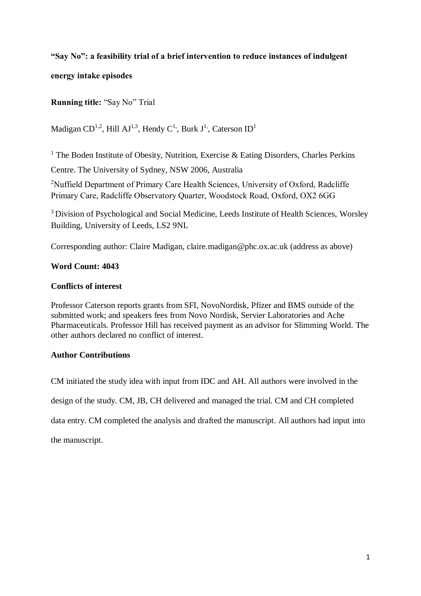## **"Say No": a feasibility trial of a brief intervention to reduce instances of indulgent**

**energy intake episodes** 

**Running title:** "Say No" Trial

Madigan CD<sup>1,2</sup>, Hill AJ<sup>1,3</sup>, Hendy C<sup>1,</sup>, Burk J<sup>1</sup>, Caterson ID<sup>1</sup>

<sup>1</sup> The Boden Institute of Obesity, Nutrition, Exercise & Eating Disorders, Charles Perkins Centre. The University of Sydney, NSW 2006, Australia

<sup>2</sup>Nuffield Department of Primary Care Health Sciences, University of Oxford, Radcliffe Primary Care, Radcliffe Observatory Quarter, Woodstock Road, Oxford, OX2 6GG

<sup>3</sup> Division of Psychological and Social Medicine, Leeds Institute of Health Sciences, Worsley Building, University of Leeds, LS2 9NL

Corresponding author: Claire Madigan, claire.madigan@phc.ox.ac.uk (address as above)

## **Word Count: 4043**

## **Conflicts of interest**

Professor Caterson reports grants from SFI, NovoNordisk, Pfizer and BMS outside of the submitted work; and speakers fees from Novo Nordisk, Servier Laboratories and Ache Pharmaceuticals. Professor Hill has received payment as an advisor for Slimming World. The other authors declared no conflict of interest.

## **Author Contributions**

CM initiated the study idea with input from IDC and AH. All authors were involved in the

design of the study. CM, JB, CH delivered and managed the trial. CM and CH completed

data entry. CM completed the analysis and drafted the manuscript. All authors had input into

the manuscript.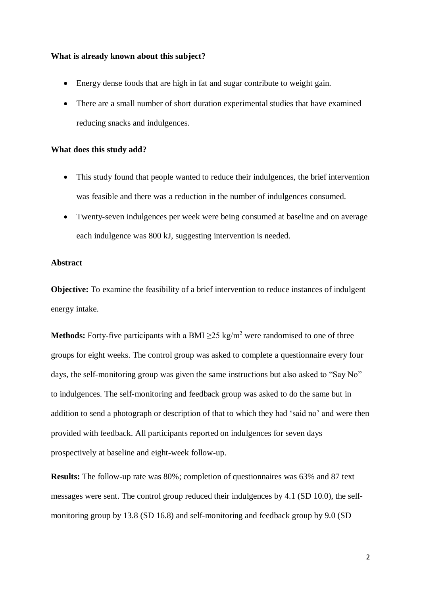#### **What is already known about this subject?**

- Energy dense foods that are high in fat and sugar contribute to weight gain.
- There are a small number of short duration experimental studies that have examined reducing snacks and indulgences.

#### **What does this study add?**

- This study found that people wanted to reduce their indulgences, the brief intervention was feasible and there was a reduction in the number of indulgences consumed.
- Twenty-seven indulgences per week were being consumed at baseline and on average each indulgence was 800 kJ, suggesting intervention is needed.

#### **Abstract**

**Objective:** To examine the feasibility of a brief intervention to reduce instances of indulgent energy intake.

**Methods:** Forty-five participants with a BMI  $\geq$ 25 kg/m<sup>2</sup> were randomised to one of three groups for eight weeks. The control group was asked to complete a questionnaire every four days, the self-monitoring group was given the same instructions but also asked to "Say No" to indulgences. The self-monitoring and feedback group was asked to do the same but in addition to send a photograph or description of that to which they had 'said no' and were then provided with feedback. All participants reported on indulgences for seven days prospectively at baseline and eight-week follow-up.

**Results:** The follow-up rate was 80%; completion of questionnaires was 63% and 87 text messages were sent. The control group reduced their indulgences by 4.1 (SD 10.0), the selfmonitoring group by 13.8 (SD 16.8) and self-monitoring and feedback group by 9.0 (SD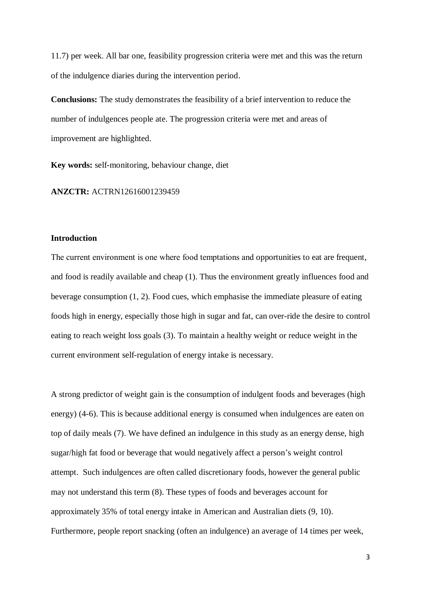11.7) per week. All bar one, feasibility progression criteria were met and this was the return of the indulgence diaries during the intervention period.

**Conclusions:** The study demonstrates the feasibility of a brief intervention to reduce the number of indulgences people ate. The progression criteria were met and areas of improvement are highlighted.

**Key words:** self-monitoring, behaviour change, diet

**ANZCTR:** ACTRN12616001239459

#### **Introduction**

The current environment is one where food temptations and opportunities to eat are frequent, and food is readily available and cheap (1). Thus the environment greatly influences food and beverage consumption (1, 2). Food cues, which emphasise the immediate pleasure of eating foods high in energy, especially those high in sugar and fat, can over-ride the desire to control eating to reach weight loss goals (3). To maintain a healthy weight or reduce weight in the current environment self-regulation of energy intake is necessary.

A strong predictor of weight gain is the consumption of indulgent foods and beverages (high energy) (4-6). This is because additional energy is consumed when indulgences are eaten on top of daily meals (7). We have defined an indulgence in this study as an energy dense, high sugar/high fat food or beverage that would negatively affect a person's weight control attempt. Such indulgences are often called discretionary foods, however the general public may not understand this term (8). These types of foods and beverages account for approximately 35% of total energy intake in American and Australian diets (9, 10). Furthermore, people report snacking (often an indulgence) an average of 14 times per week,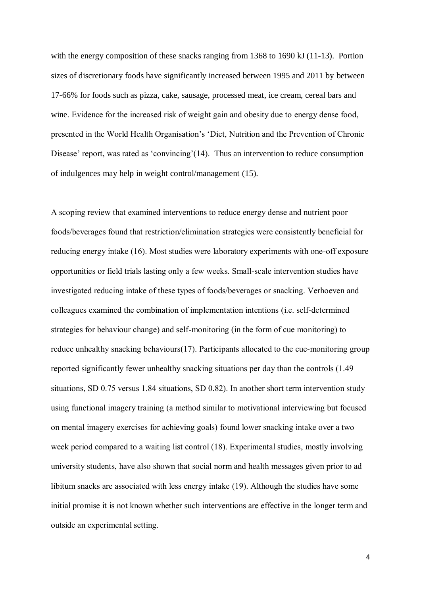with the energy composition of these snacks ranging from 1368 to 1690 kJ (11-13). Portion sizes of discretionary foods have significantly increased between 1995 and 2011 by between 17-66% for foods such as pizza, cake, sausage, processed meat, ice cream, cereal bars and wine. Evidence for the increased risk of weight gain and obesity due to energy dense food, presented in the World Health Organisation's 'Diet, Nutrition and the Prevention of Chronic Disease' report, was rated as 'convincing'(14). Thus an intervention to reduce consumption of indulgences may help in weight control/management (15).

A scoping review that examined interventions to reduce energy dense and nutrient poor foods/beverages found that restriction/elimination strategies were consistently beneficial for reducing energy intake (16). Most studies were laboratory experiments with one-off exposure opportunities or field trials lasting only a few weeks. Small-scale intervention studies have investigated reducing intake of these types of foods/beverages or snacking. Verhoeven and colleagues examined the combination of implementation intentions (i.e. self-determined strategies for behaviour change) and self-monitoring (in the form of cue monitoring) to reduce unhealthy snacking behaviours(17). Participants allocated to the cue-monitoring group reported significantly fewer unhealthy snacking situations per day than the controls (1.49 situations, SD 0.75 versus 1.84 situations, SD 0.82). In another short term intervention study using functional imagery training (a method similar to motivational interviewing but focused on mental imagery exercises for achieving goals) found lower snacking intake over a two week period compared to a waiting list control (18). Experimental studies, mostly involving university students, have also shown that social norm and health messages given prior to ad libitum snacks are associated with less energy intake (19). Although the studies have some initial promise it is not known whether such interventions are effective in the longer term and outside an experimental setting.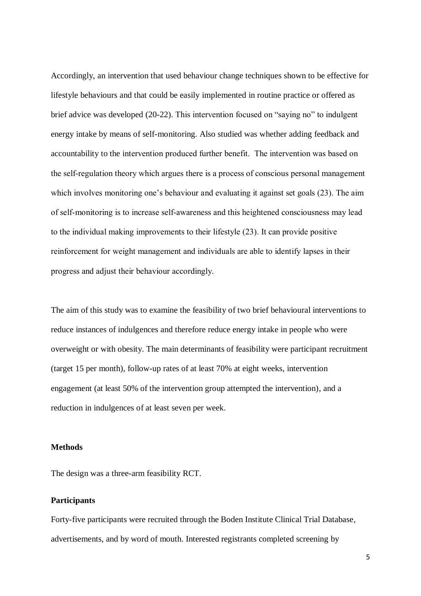Accordingly, an intervention that used behaviour change techniques shown to be effective for lifestyle behaviours and that could be easily implemented in routine practice or offered as brief advice was developed (20-22). This intervention focused on "saying no" to indulgent energy intake by means of self-monitoring. Also studied was whether adding feedback and accountability to the intervention produced further benefit. The intervention was based on the self-regulation theory which argues there is a process of conscious personal management which involves monitoring one's behaviour and evaluating it against set goals (23). The aim of self-monitoring is to increase self-awareness and this heightened consciousness may lead to the individual making improvements to their lifestyle (23). It can provide positive reinforcement for weight management and individuals are able to identify lapses in their progress and adjust their behaviour accordingly.

The aim of this study was to examine the feasibility of two brief behavioural interventions to reduce instances of indulgences and therefore reduce energy intake in people who were overweight or with obesity. The main determinants of feasibility were participant recruitment (target 15 per month), follow-up rates of at least 70% at eight weeks, intervention engagement (at least 50% of the intervention group attempted the intervention), and a reduction in indulgences of at least seven per week.

#### **Methods**

The design was a three-arm feasibility RCT.

#### **Participants**

Forty-five participants were recruited through the Boden Institute Clinical Trial Database, advertisements, and by word of mouth. Interested registrants completed screening by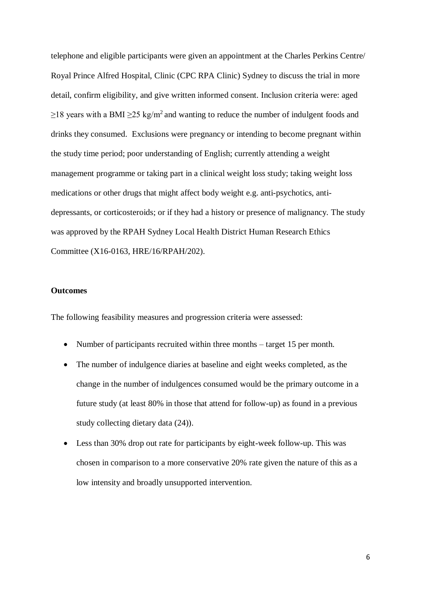telephone and eligible participants were given an appointment at the Charles Perkins Centre/ Royal Prince Alfred Hospital, Clinic (CPC RPA Clinic) Sydney to discuss the trial in more detail, confirm eligibility, and give written informed consent. Inclusion criteria were: aged  $\geq$ 18 years with a BMI  $\geq$ 25 kg/m<sup>2</sup> and wanting to reduce the number of indulgent foods and drinks they consumed. Exclusions were pregnancy or intending to become pregnant within the study time period; poor understanding of English; currently attending a weight management programme or taking part in a clinical weight loss study; taking weight loss medications or other drugs that might affect body weight e.g. anti-psychotics, antidepressants, or corticosteroids; or if they had a history or presence of malignancy. The study was approved by the RPAH Sydney Local Health District Human Research Ethics Committee (X16-0163, HRE/16/RPAH/202).

#### **Outcomes**

The following feasibility measures and progression criteria were assessed:

- Number of participants recruited within three months target 15 per month.
- The number of indulgence diaries at baseline and eight weeks completed, as the change in the number of indulgences consumed would be the primary outcome in a future study (at least 80% in those that attend for follow-up) as found in a previous study collecting dietary data (24)).
- Less than 30% drop out rate for participants by eight-week follow-up. This was chosen in comparison to a more conservative 20% rate given the nature of this as a low intensity and broadly unsupported intervention.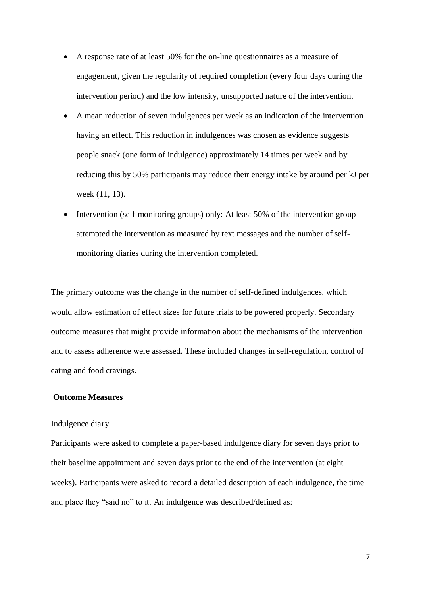- A response rate of at least 50% for the on-line questionnaires as a measure of engagement, given the regularity of required completion (every four days during the intervention period) and the low intensity, unsupported nature of the intervention.
- A mean reduction of seven indulgences per week as an indication of the intervention having an effect. This reduction in indulgences was chosen as evidence suggests people snack (one form of indulgence) approximately 14 times per week and by reducing this by 50% participants may reduce their energy intake by around per kJ per week (11, 13).
- Intervention (self-monitoring groups) only: At least 50% of the intervention group attempted the intervention as measured by text messages and the number of selfmonitoring diaries during the intervention completed.

The primary outcome was the change in the number of self-defined indulgences, which would allow estimation of effect sizes for future trials to be powered properly. Secondary outcome measures that might provide information about the mechanisms of the intervention and to assess adherence were assessed. These included changes in self-regulation, control of eating and food cravings.

#### **Outcome Measures**

#### Indulgence diary

Participants were asked to complete a paper-based indulgence diary for seven days prior to their baseline appointment and seven days prior to the end of the intervention (at eight weeks). Participants were asked to record a detailed description of each indulgence, the time and place they "said no" to it. An indulgence was described/defined as: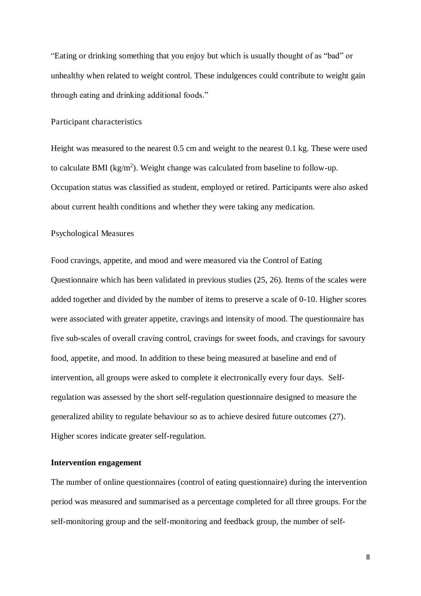"Eating or drinking something that you enjoy but which is usually thought of as "bad" or unhealthy when related to weight control. These indulgences could contribute to weight gain through eating and drinking additional foods."

#### Participant characteristics

Height was measured to the nearest 0.5 cm and weight to the nearest 0.1 kg. These were used to calculate BMI ( $kg/m<sup>2</sup>$ ). Weight change was calculated from baseline to follow-up. Occupation status was classified as student, employed or retired. Participants were also asked about current health conditions and whether they were taking any medication.

#### Psychological Measures

Food cravings, appetite, and mood and were measured via the Control of Eating Questionnaire which has been validated in previous studies (25, 26). Items of the scales were added together and divided by the number of items to preserve a scale of 0-10. Higher scores were associated with greater appetite, cravings and intensity of mood. The questionnaire has five sub-scales of overall craving control, cravings for sweet foods, and cravings for savoury food, appetite, and mood. In addition to these being measured at baseline and end of intervention, all groups were asked to complete it electronically every four days. Selfregulation was assessed by the short self-regulation questionnaire designed to measure the generalized ability to regulate behaviour so as to achieve desired future outcomes (27). Higher scores indicate greater self-regulation.

#### **Intervention engagement**

The number of online questionnaires (control of eating questionnaire) during the intervention period was measured and summarised as a percentage completed for all three groups. For the self-monitoring group and the self-monitoring and feedback group, the number of self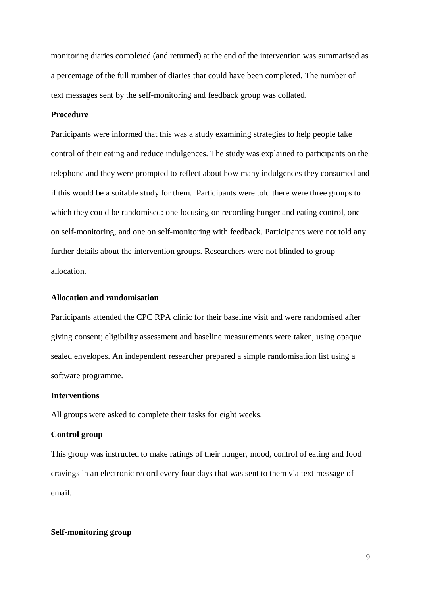monitoring diaries completed (and returned) at the end of the intervention was summarised as a percentage of the full number of diaries that could have been completed. The number of text messages sent by the self-monitoring and feedback group was collated.

### **Procedure**

Participants were informed that this was a study examining strategies to help people take control of their eating and reduce indulgences. The study was explained to participants on the telephone and they were prompted to reflect about how many indulgences they consumed and if this would be a suitable study for them. Participants were told there were three groups to which they could be randomised: one focusing on recording hunger and eating control, one on self-monitoring, and one on self-monitoring with feedback. Participants were not told any further details about the intervention groups. Researchers were not blinded to group allocation.

#### **Allocation and randomisation**

Participants attended the CPC RPA clinic for their baseline visit and were randomised after giving consent; eligibility assessment and baseline measurements were taken, using opaque sealed envelopes. An independent researcher prepared a simple randomisation list using a software programme.

#### **Interventions**

All groups were asked to complete their tasks for eight weeks.

#### **Control group**

This group was instructed to make ratings of their hunger, mood, control of eating and food cravings in an electronic record every four days that was sent to them via text message of email.

#### **Self-monitoring group**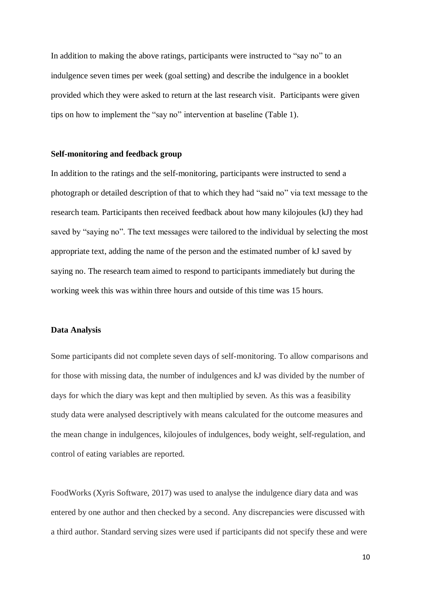In addition to making the above ratings, participants were instructed to "say no" to an indulgence seven times per week (goal setting) and describe the indulgence in a booklet provided which they were asked to return at the last research visit. Participants were given tips on how to implement the "say no" intervention at baseline (Table 1).

#### **Self-monitoring and feedback group**

In addition to the ratings and the self-monitoring, participants were instructed to send a photograph or detailed description of that to which they had "said no" via text message to the research team. Participants then received feedback about how many kilojoules (kJ) they had saved by "saying no". The text messages were tailored to the individual by selecting the most appropriate text, adding the name of the person and the estimated number of kJ saved by saying no. The research team aimed to respond to participants immediately but during the working week this was within three hours and outside of this time was 15 hours.

#### **Data Analysis**

Some participants did not complete seven days of self-monitoring. To allow comparisons and for those with missing data, the number of indulgences and kJ was divided by the number of days for which the diary was kept and then multiplied by seven. As this was a feasibility study data were analysed descriptively with means calculated for the outcome measures and the mean change in indulgences, kilojoules of indulgences, body weight, self-regulation, and control of eating variables are reported.

FoodWorks (Xyris Software, 2017) was used to analyse the indulgence diary data and was entered by one author and then checked by a second. Any discrepancies were discussed with a third author. Standard serving sizes were used if participants did not specify these and were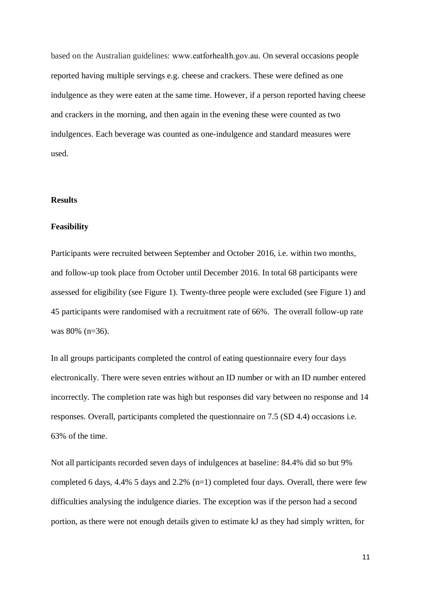based on the Australian guidelines: www.eatforhealth.gov.au. On several occasions people reported having multiple servings e.g. cheese and crackers. These were defined as one indulgence as they were eaten at the same time. However, if a person reported having cheese and crackers in the morning, and then again in the evening these were counted as two indulgences. Each beverage was counted as one-indulgence and standard measures were used.

#### **Results**

#### **Feasibility**

Participants were recruited between September and October 2016, i.e. within two months, and follow-up took place from October until December 2016. In total 68 participants were assessed for eligibility (see Figure 1). Twenty-three people were excluded (see Figure 1) and 45 participants were randomised with a recruitment rate of 66%. The overall follow-up rate was 80% (n=36).

In all groups participants completed the control of eating questionnaire every four days electronically. There were seven entries without an ID number or with an ID number entered incorrectly. The completion rate was high but responses did vary between no response and 14 responses. Overall, participants completed the questionnaire on 7.5 (SD 4.4) occasions i.e. 63% of the time.

Not all participants recorded seven days of indulgences at baseline: 84.4% did so but 9% completed 6 days, 4.4% 5 days and 2.2% (n=1) completed four days. Overall, there were few difficulties analysing the indulgence diaries. The exception was if the person had a second portion, as there were not enough details given to estimate kJ as they had simply written, for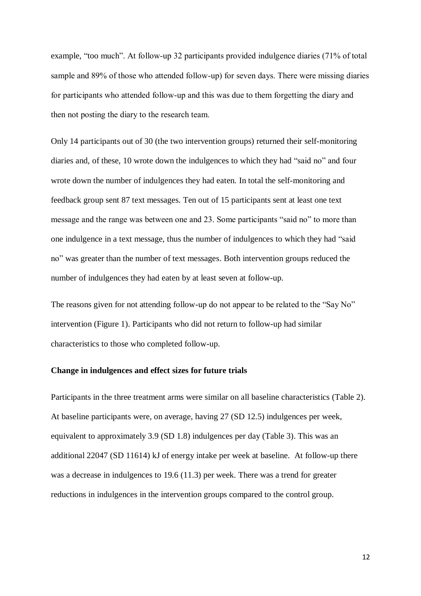example, "too much". At follow-up 32 participants provided indulgence diaries (71% of total sample and 89% of those who attended follow-up) for seven days. There were missing diaries for participants who attended follow-up and this was due to them forgetting the diary and then not posting the diary to the research team.

Only 14 participants out of 30 (the two intervention groups) returned their self-monitoring diaries and, of these, 10 wrote down the indulgences to which they had "said no" and four wrote down the number of indulgences they had eaten. In total the self-monitoring and feedback group sent 87 text messages. Ten out of 15 participants sent at least one text message and the range was between one and 23. Some participants "said no" to more than one indulgence in a text message, thus the number of indulgences to which they had "said no" was greater than the number of text messages. Both intervention groups reduced the number of indulgences they had eaten by at least seven at follow-up.

The reasons given for not attending follow-up do not appear to be related to the "Say No" intervention (Figure 1). Participants who did not return to follow-up had similar characteristics to those who completed follow-up.

#### **Change in indulgences and effect sizes for future trials**

Participants in the three treatment arms were similar on all baseline characteristics (Table 2). At baseline participants were, on average, having 27 (SD 12.5) indulgences per week, equivalent to approximately 3.9 (SD 1.8) indulgences per day (Table 3). This was an additional 22047 (SD 11614) kJ of energy intake per week at baseline. At follow-up there was a decrease in indulgences to 19.6 (11.3) per week. There was a trend for greater reductions in indulgences in the intervention groups compared to the control group.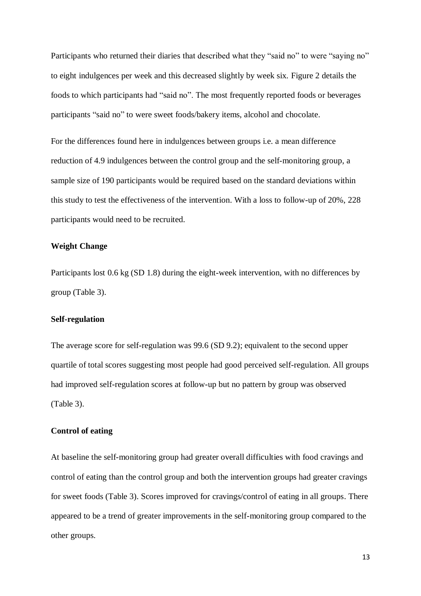Participants who returned their diaries that described what they "said no" to were "saying no" to eight indulgences per week and this decreased slightly by week six. Figure 2 details the foods to which participants had "said no". The most frequently reported foods or beverages participants "said no" to were sweet foods/bakery items, alcohol and chocolate.

For the differences found here in indulgences between groups i.e. a mean difference reduction of 4.9 indulgences between the control group and the self-monitoring group, a sample size of 190 participants would be required based on the standard deviations within this study to test the effectiveness of the intervention. With a loss to follow-up of 20%, 228 participants would need to be recruited.

#### **Weight Change**

Participants lost 0.6 kg (SD 1.8) during the eight-week intervention, with no differences by group (Table 3).

#### **Self-regulation**

The average score for self-regulation was 99.6 (SD 9.2); equivalent to the second upper quartile of total scores suggesting most people had good perceived self-regulation. All groups had improved self-regulation scores at follow-up but no pattern by group was observed (Table 3).

#### **Control of eating**

At baseline the self-monitoring group had greater overall difficulties with food cravings and control of eating than the control group and both the intervention groups had greater cravings for sweet foods (Table 3). Scores improved for cravings/control of eating in all groups. There appeared to be a trend of greater improvements in the self-monitoring group compared to the other groups.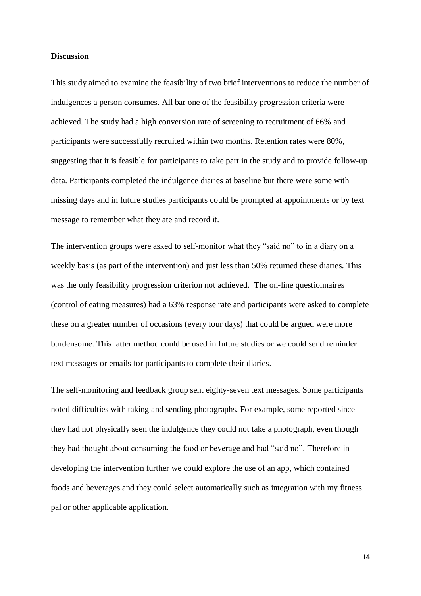#### **Discussion**

This study aimed to examine the feasibility of two brief interventions to reduce the number of indulgences a person consumes. All bar one of the feasibility progression criteria were achieved. The study had a high conversion rate of screening to recruitment of 66% and participants were successfully recruited within two months. Retention rates were 80%, suggesting that it is feasible for participants to take part in the study and to provide follow-up data. Participants completed the indulgence diaries at baseline but there were some with missing days and in future studies participants could be prompted at appointments or by text message to remember what they ate and record it.

The intervention groups were asked to self-monitor what they "said no" to in a diary on a weekly basis (as part of the intervention) and just less than 50% returned these diaries. This was the only feasibility progression criterion not achieved. The on-line questionnaires (control of eating measures) had a 63% response rate and participants were asked to complete these on a greater number of occasions (every four days) that could be argued were more burdensome. This latter method could be used in future studies or we could send reminder text messages or emails for participants to complete their diaries.

The self-monitoring and feedback group sent eighty-seven text messages. Some participants noted difficulties with taking and sending photographs. For example, some reported since they had not physically seen the indulgence they could not take a photograph, even though they had thought about consuming the food or beverage and had "said no". Therefore in developing the intervention further we could explore the use of an app, which contained foods and beverages and they could select automatically such as integration with my fitness pal or other applicable application.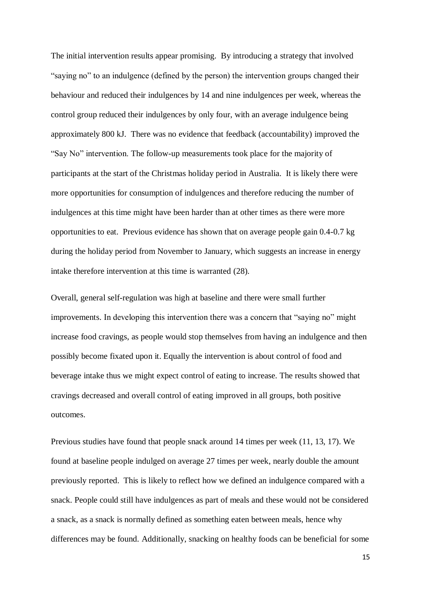The initial intervention results appear promising. By introducing a strategy that involved "saying no" to an indulgence (defined by the person) the intervention groups changed their behaviour and reduced their indulgences by 14 and nine indulgences per week, whereas the control group reduced their indulgences by only four, with an average indulgence being approximately 800 kJ. There was no evidence that feedback (accountability) improved the "Say No" intervention. The follow-up measurements took place for the majority of participants at the start of the Christmas holiday period in Australia. It is likely there were more opportunities for consumption of indulgences and therefore reducing the number of indulgences at this time might have been harder than at other times as there were more opportunities to eat. Previous evidence has shown that on average people gain 0.4-0.7 kg during the holiday period from November to January, which suggests an increase in energy intake therefore intervention at this time is warranted (28).

Overall, general self-regulation was high at baseline and there were small further improvements. In developing this intervention there was a concern that "saying no" might increase food cravings, as people would stop themselves from having an indulgence and then possibly become fixated upon it. Equally the intervention is about control of food and beverage intake thus we might expect control of eating to increase. The results showed that cravings decreased and overall control of eating improved in all groups, both positive outcomes.

Previous studies have found that people snack around 14 times per week (11, 13, 17). We found at baseline people indulged on average 27 times per week, nearly double the amount previously reported. This is likely to reflect how we defined an indulgence compared with a snack. People could still have indulgences as part of meals and these would not be considered a snack, as a snack is normally defined as something eaten between meals, hence why differences may be found. Additionally, snacking on healthy foods can be beneficial for some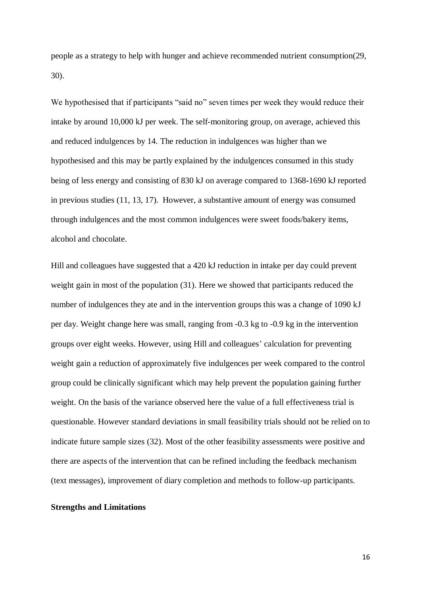people as a strategy to help with hunger and achieve recommended nutrient consumption(29, 30).

We hypothesised that if participants "said no" seven times per week they would reduce their intake by around 10,000 kJ per week. The self-monitoring group, on average, achieved this and reduced indulgences by 14. The reduction in indulgences was higher than we hypothesised and this may be partly explained by the indulgences consumed in this study being of less energy and consisting of 830 kJ on average compared to 1368-1690 kJ reported in previous studies (11, 13, 17). However, a substantive amount of energy was consumed through indulgences and the most common indulgences were sweet foods/bakery items, alcohol and chocolate.

Hill and colleagues have suggested that a 420 kJ reduction in intake per day could prevent weight gain in most of the population (31). Here we showed that participants reduced the number of indulgences they ate and in the intervention groups this was a change of 1090 kJ per day. Weight change here was small, ranging from -0.3 kg to -0.9 kg in the intervention groups over eight weeks. However, using Hill and colleagues' calculation for preventing weight gain a reduction of approximately five indulgences per week compared to the control group could be clinically significant which may help prevent the population gaining further weight. On the basis of the variance observed here the value of a full effectiveness trial is questionable. However standard deviations in small feasibility trials should not be relied on to indicate future sample sizes (32). Most of the other feasibility assessments were positive and there are aspects of the intervention that can be refined including the feedback mechanism (text messages), improvement of diary completion and methods to follow-up participants.

#### **Strengths and Limitations**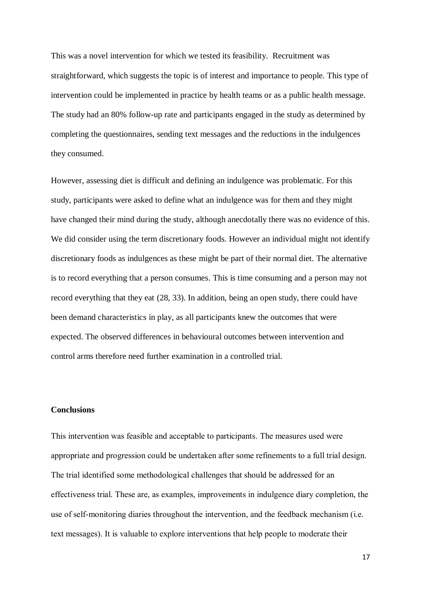This was a novel intervention for which we tested its feasibility. Recruitment was straightforward, which suggests the topic is of interest and importance to people. This type of intervention could be implemented in practice by health teams or as a public health message. The study had an 80% follow-up rate and participants engaged in the study as determined by completing the questionnaires, sending text messages and the reductions in the indulgences they consumed.

However, assessing diet is difficult and defining an indulgence was problematic. For this study, participants were asked to define what an indulgence was for them and they might have changed their mind during the study, although anecdotally there was no evidence of this. We did consider using the term discretionary foods. However an individual might not identify discretionary foods as indulgences as these might be part of their normal diet. The alternative is to record everything that a person consumes. This is time consuming and a person may not record everything that they eat (28, 33). In addition, being an open study, there could have been demand characteristics in play, as all participants knew the outcomes that were expected. The observed differences in behavioural outcomes between intervention and control arms therefore need further examination in a controlled trial.

#### **Conclusions**

This intervention was feasible and acceptable to participants. The measures used were appropriate and progression could be undertaken after some refinements to a full trial design. The trial identified some methodological challenges that should be addressed for an effectiveness trial. These are, as examples, improvements in indulgence diary completion, the use of self-monitoring diaries throughout the intervention, and the feedback mechanism (i.e. text messages). It is valuable to explore interventions that help people to moderate their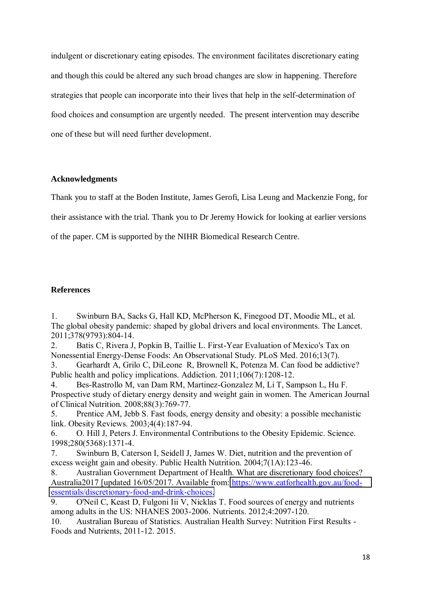indulgent or discretionary eating episodes. The environment facilitates discretionary eating and though this could be altered any such broad changes are slow in happening. Therefore strategies that people can incorporate into their lives that help in the self-determination of food choices and consumption are urgently needed. The present intervention may describe one of these but will need further development.

#### **Acknowledgments**

Thank you to staff at the Boden Institute, James Gerofi, Lisa Leung and Mackenzie Fong, for their assistance with the trial. Thank you to Dr Jeremy Howick for looking at earlier versions of the paper. CM is supported by the NIHR Biomedical Research Centre.

## **References**

1. Swinburn BA, Sacks G, Hall KD, McPherson K, Finegood DT, Moodie ML, et al. The global obesity pandemic: shaped by global drivers and local environments. The Lancet. 2011;378(9793):804-14.

2. Batis C, Rivera J, Popkin B, Taillie L. First-Year Evaluation of Mexico's Tax on Nonessential Energy-Dense Foods: An Observational Study. PLoS Med. 2016;13(7).

3. Gearhardt A, Grilo C, DiLeone R, Brownell K, Potenza M. Can food be addictive? Public health and policy implications. Addiction. 2011;106(7):1208-12.

4. Bes-Rastrollo M, van Dam RM, Martinez-Gonzalez M, Li T, Sampson L, Hu F. Prospective study of dietary energy density and weight gain in women. The American Journal of Clinical Nutrition. 2008;88(3):769-77.

5. Prentice AM, Jebb S. Fast foods, energy density and obesity: a possible mechanistic link. Obesity Reviews. 2003;4(4):187-94.

6. O. Hill J, Peters J. Environmental Contributions to the Obesity Epidemic. Science. 1998;280(5368):1371-4.

7. Swinburn B, Caterson I, Seidell J, James W. Diet, nutrition and the prevention of excess weight gain and obesity. Public Health Nutrition. 2004;7(1A):123-46.

8. Australian Government Department of Health. What are discretionary food choices? Australia2017 [updated 16/05/2017. Available from: [https://www.eatforhealth.gov.au/food](https://www.eatforhealth.gov.au/food-essentials/discretionary-food-and-drink-choices)[essentials/discretionary-food-and-drink-choices.](https://www.eatforhealth.gov.au/food-essentials/discretionary-food-and-drink-choices)

9. O'Neil C, Keast D, Fulgoni Iii V, Nicklas T. Food sources of energy and nutrients among adults in the US: NHANES 2003-2006. Nutrients. 2012;4:2097-120.

10. Australian Bureau of Statistics. Australian Health Survey: Nutrition First Results - Foods and Nutrients, 2011-12. 2015.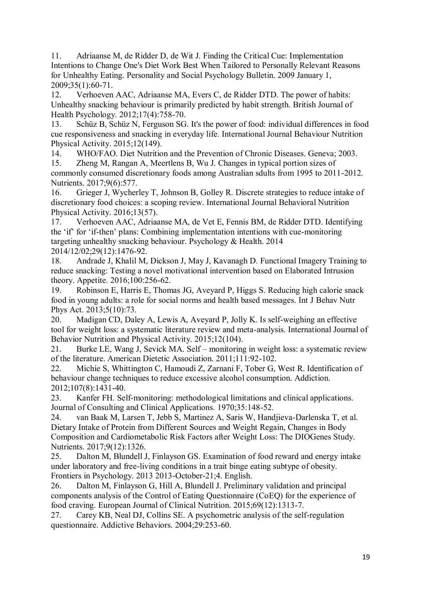11. Adriaanse M, de Ridder D, de Wit J. Finding the Critical Cue: Implementation Intentions to Change One's Diet Work Best When Tailored to Personally Relevant Reasons for Unhealthy Eating. Personality and Social Psychology Bulletin. 2009 January 1, 2009;35(1):60-71.

12. Verhoeven AAC, Adriaanse MA, Evers C, de Ridder DTD. The power of habits: Unhealthy snacking behaviour is primarily predicted by habit strength. British Journal of Health Psychology. 2012;17(4):758-70.

13. Schüz B, Schüz N, Ferguson SG. It's the power of food: individual differences in food cue responsiveness and snacking in everyday life. International Journal Behaviour Nutrition Physical Activity. 2015;12(149).

14. WHO/FAO. Diet Nutrition and the Prevention of Chronic Diseases. Geneva; 2003. 15. Zheng M, Rangan A, Meertlens B, Wu J. Changes in typical portion sizes of commonly consumed discretionary foods among Australian sdults from 1995 to 2011-2012. Nutrients. 2017;9(6):577.

16. Grieger J, Wycherley T, Johnson B, Golley R. Discrete strategies to reduce intake of discretionary food choices: a scoping review. International Journal Behavioral Nutrition Physical Activity. 2016;13(57).

17. Verhoeven AAC, Adriaanse MA, de Vet E, Fennis BM, de Ridder DTD. Identifying the 'if' for 'if-then' plans: Combining implementation intentions with cue-monitoring targeting unhealthy snacking behaviour. Psychology & Health. 2014 2014/12/02;29(12):1476-92.

18. Andrade J, Khalil M, Dickson J, May J, Kavanagh D. Functional Imagery Training to reduce snacking: Testing a novel motivational intervention based on Elaborated Intrusion theory. Appetite. 2016;100:256-62.

19. Robinson E, Harris E, Thomas JG, Aveyard P, Higgs S. Reducing high calorie snack food in young adults: a role for social norms and health based messages. Int J Behav Nutr Phys Act. 2013;5(10):73.

20. Madigan CD, Daley A, Lewis A, Aveyard P, Jolly K. Is self-weighing an effective tool for weight loss: a systematic literature review and meta-analysis. International Journal of Behavior Nutrition and Physical Activity. 2015;12(104).

21. Burke LE, Wang J, Sevick MA. Self – monitoring in weight loss: a systematic review of the literature. American Dietetic Association. 2011;111:92-102.

22. Michie S, Whittington C, Hamoudi Z, Zarnani F, Tober G, West R. Identification of behaviour change techniques to reduce excessive alcohol consumption. Addiction. 2012;107(8):1431-40.

23. Kanfer FH. Self-monitoring: methodological limitations and clinical applications. Journal of Consulting and Clinical Applications. 1970;35:148-52.

24. van Baak M, Larsen T, Jebb S, Martinez A, Saris W, Handjieva-Darlenska T, et al. Dietary Intake of Protein from Different Sources and Weight Regain, Changes in Body Composition and Cardiometabolic Risk Factors after Weight Loss: The DIOGenes Study. Nutrients. 2017;9(12):1326.

25. Dalton M, Blundell J, Finlayson GS. Examination of food reward and energy intake under laboratory and free-living conditions in a trait binge eating subtype of obesity. Frontiers in Psychology. 2013 2013-October-21;4. English.

26. Dalton M, Finlayson G, Hill A, Blundell J. Preliminary validation and principal components analysis of the Control of Eating Questionnaire (CoEQ) for the experience of food craving. European Journal of Clinical Nutrition. 2015;69(12):1313-7.

27. Carey KB, Neal DJ, Collins SE. A psychometric analysis of the self-regulation questionnaire. Addictive Behaviors. 2004;29:253-60.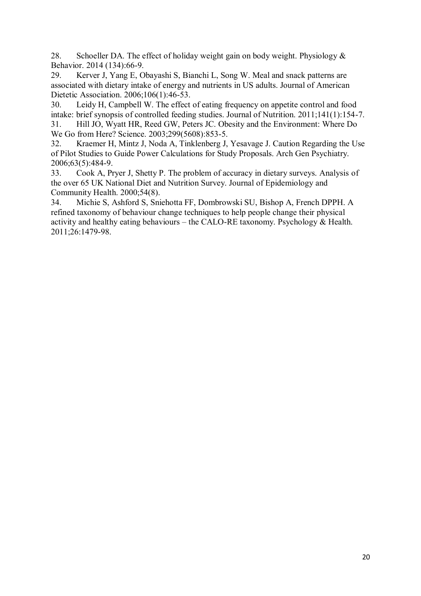28. Schoeller DA. The effect of holiday weight gain on body weight. Physiology  $\&$ Behavior. 2014 (134):66-9.

29. Kerver J, Yang E, Obayashi S, Bianchi L, Song W. Meal and snack patterns are associated with dietary intake of energy and nutrients in US adults. Journal of American Dietetic Association. 2006;106(1):46-53.

30. Leidy H, Campbell W. The effect of eating frequency on appetite control and food intake: brief synopsis of controlled feeding studies. Journal of Nutrition. 2011;141(1):154-7.

31. Hill JO, Wyatt HR, Reed GW, Peters JC. Obesity and the Environment: Where Do We Go from Here? Science. 2003;299(5608):853-5.

32. Kraemer H, Mintz J, Noda A, Tinklenberg J, Yesavage J. Caution Regarding the Use of Pilot Studies to Guide Power Calculations for Study Proposals. Arch Gen Psychiatry. 2006;63(5):484-9.

33. Cook A, Pryer J, Shetty P. The problem of accuracy in dietary surveys. Analysis of the over 65 UK National Diet and Nutrition Survey. Journal of Epidemiology and Community Health. 2000;54(8).

34. Michie S, Ashford S, Sniehotta FF, Dombrowski SU, Bishop A, French DPPH. A refined taxonomy of behaviour change techniques to help people change their physical activity and healthy eating behaviours – the CALO-RE taxonomy. Psychology & Health. 2011;26:1479-98.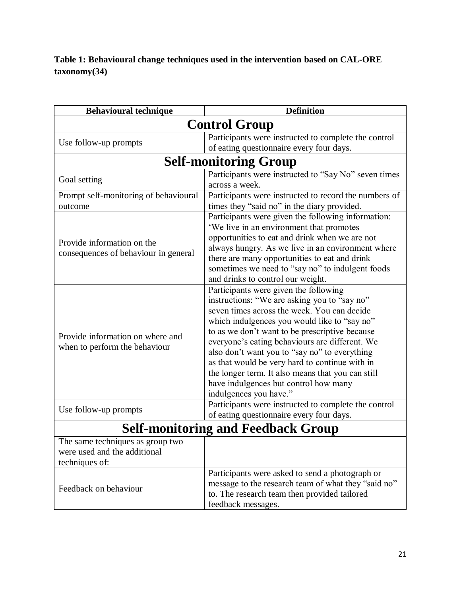**Table 1: Behavioural change techniques used in the intervention based on CAL-ORE taxonomy(34)** 

| <b>Behavioural technique</b>                                                       | <b>Definition</b>                                                                                                                                                                                                                                                                                                                                                                                                                                                                                                   |  |  |  |  |
|------------------------------------------------------------------------------------|---------------------------------------------------------------------------------------------------------------------------------------------------------------------------------------------------------------------------------------------------------------------------------------------------------------------------------------------------------------------------------------------------------------------------------------------------------------------------------------------------------------------|--|--|--|--|
| <b>Control Group</b>                                                               |                                                                                                                                                                                                                                                                                                                                                                                                                                                                                                                     |  |  |  |  |
|                                                                                    | Participants were instructed to complete the control                                                                                                                                                                                                                                                                                                                                                                                                                                                                |  |  |  |  |
| Use follow-up prompts                                                              | of eating questionnaire every four days.                                                                                                                                                                                                                                                                                                                                                                                                                                                                            |  |  |  |  |
| <b>Self-monitoring Group</b>                                                       |                                                                                                                                                                                                                                                                                                                                                                                                                                                                                                                     |  |  |  |  |
| Goal setting                                                                       | Participants were instructed to "Say No" seven times<br>across a week.                                                                                                                                                                                                                                                                                                                                                                                                                                              |  |  |  |  |
| Prompt self-monitoring of behavioural                                              | Participants were instructed to record the numbers of                                                                                                                                                                                                                                                                                                                                                                                                                                                               |  |  |  |  |
| outcome                                                                            | times they "said no" in the diary provided.                                                                                                                                                                                                                                                                                                                                                                                                                                                                         |  |  |  |  |
| Provide information on the<br>consequences of behaviour in general                 | Participants were given the following information:<br>'We live in an environment that promotes<br>opportunities to eat and drink when we are not<br>always hungry. As we live in an environment where<br>there are many opportunities to eat and drink<br>sometimes we need to "say no" to indulgent foods<br>and drinks to control our weight.                                                                                                                                                                     |  |  |  |  |
| Provide information on where and<br>when to perform the behaviour                  | Participants were given the following<br>instructions: "We are asking you to "say no"<br>seven times across the week. You can decide<br>which indulgences you would like to "say no"<br>to as we don't want to be prescriptive because<br>everyone's eating behaviours are different. We<br>also don't want you to "say no" to everything<br>as that would be very hard to continue with in<br>the longer term. It also means that you can still<br>have indulgences but control how many<br>indulgences you have." |  |  |  |  |
| Use follow-up prompts                                                              | Participants were instructed to complete the control<br>of eating questionnaire every four days.                                                                                                                                                                                                                                                                                                                                                                                                                    |  |  |  |  |
| <b>Self-monitoring and Feedback Group</b>                                          |                                                                                                                                                                                                                                                                                                                                                                                                                                                                                                                     |  |  |  |  |
| The same techniques as group two<br>were used and the additional<br>techniques of: |                                                                                                                                                                                                                                                                                                                                                                                                                                                                                                                     |  |  |  |  |
| Feedback on behaviour                                                              | Participants were asked to send a photograph or<br>message to the research team of what they "said no"<br>to. The research team then provided tailored<br>feedback messages.                                                                                                                                                                                                                                                                                                                                        |  |  |  |  |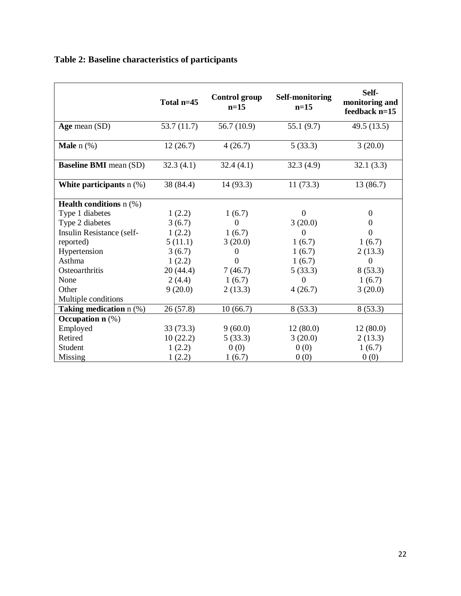|                                  | Total n=45 | <b>Control group</b><br>$n=15$ | <b>Self-monitoring</b><br>$n=15$ | Self-<br>monitoring and<br>feedback n=15 |
|----------------------------------|------------|--------------------------------|----------------------------------|------------------------------------------|
| Age mean (SD)                    | 53.7(11.7) | 56.7 (10.9)                    | 55.1(9.7)                        | 49.5 (13.5)                              |
| <b>Male</b> $n$ $%$              | 12(26.7)   | 4(26.7)                        | 5(33.3)                          | 3(20.0)                                  |
| <b>Baseline BMI</b> mean (SD)    | 32.3(4.1)  | 32.4(4.1)                      | 32.3(4.9)                        | 32.1(3.3)                                |
| White participants $n$ (%)       | 38 (84.4)  | 14(93.3)                       | 11(73.3)                         | 13 (86.7)                                |
| <b>Health conditions</b> $n$ (%) |            |                                |                                  |                                          |
| Type 1 diabetes                  | 1(2.2)     | 1(6.7)                         | $\Omega$                         | $\overline{0}$                           |
| Type 2 diabetes                  | 3(6.7)     | $\mathbf{0}$                   | 3(20.0)                          | 0                                        |
| Insulin Resistance (self-        | 1(2.2)     | 1(6.7)                         | $\theta$                         | $\overline{0}$                           |
| reported)                        | 5(11.1)    | 3(20.0)                        | 1(6.7)                           | 1(6.7)                                   |
| Hypertension                     | 3(6.7)     | $\boldsymbol{0}$               | 1(6.7)                           | 2(13.3)                                  |
| Asthma                           | 1(2.2)     | $\overline{0}$                 | 1(6.7)                           | $\boldsymbol{0}$                         |
| Osteoarthritis                   | 20(44.4)   | 7(46.7)                        | 5(33.3)                          | 8(53.3)                                  |
| None                             | 2(4.4)     | 1(6.7)                         | $\Omega$                         | 1(6.7)                                   |
| Other                            | 9(20.0)    | 2(13.3)                        | 4(26.7)                          | 3(20.0)                                  |
| Multiple conditions              |            |                                |                                  |                                          |
| Taking medication n (%)          | 26(57.8)   | 10(66.7)                       | 8(53.3)                          | 8(53.3)                                  |
| Occupation $n$ $(\%)$            |            |                                |                                  |                                          |
| Employed                         | 33(73.3)   | 9(60.0)                        | 12(80.0)                         | 12(80.0)                                 |
| Retired                          | 10(22.2)   | 5(33.3)                        | 3(20.0)                          | 2(13.3)                                  |
| Student                          | 1(2.2)     | 0(0)                           | 0(0)                             | 1(6.7)                                   |
| <b>Missing</b>                   | 1(2.2)     | 1(6.7)                         | 0(0)                             | 0(0)                                     |

# **Table 2: Baseline characteristics of participants**